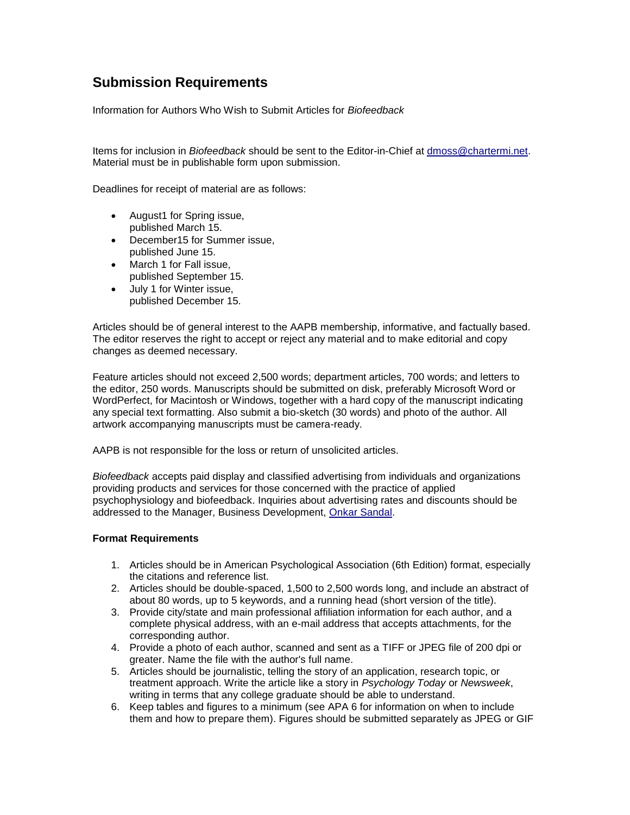## **Submission Requirements**

Information for Authors Who Wish to Submit Articles for *Biofeedback*

Items for inclusion in *Biofeedback* should be sent to the Editor-in-Chief at [dmoss@chartermi.net.](mailto:dmoss@chartermi.net) Material must be in publishable form upon submission.

Deadlines for receipt of material are as follows:

- August1 for Spring issue, published March 15.
- December15 for Summer issue, published June 15.
- March 1 for Fall issue, published September 15.
- July 1 for Winter issue, published December 15.

Articles should be of general interest to the AAPB membership, informative, and factually based. The editor reserves the right to accept or reject any material and to make editorial and copy changes as deemed necessary.

Feature articles should not exceed 2,500 words; department articles, 700 words; and letters to the editor, 250 words. Manuscripts should be submitted on disk, preferably Microsoft Word or WordPerfect, for Macintosh or Windows, together with a hard copy of the manuscript indicating any special text formatting. Also submit a bio-sketch (30 words) and photo of the author. All artwork accompanying manuscripts must be camera-ready.

AAPB is not responsible for the loss or return of unsolicited articles.

*Biofeedback* accepts paid display and classified advertising from individuals and organizations providing products and services for those concerned with the practice of applied psychophysiology and biofeedback. Inquiries about advertising rates and discounts should be addressed to the Manager, Business Development, [Onkar Sandal.](mailto:%20osandal@allenpress.com)

## **Format Requirements**

- 1. Articles should be in American Psychological Association (6th Edition) format, especially the citations and reference list.
- 2. Articles should be double-spaced, 1,500 to 2,500 words long, and include an abstract of about 80 words, up to 5 keywords, and a running head (short version of the title).
- 3. Provide city/state and main professional affiliation information for each author, and a complete physical address, with an e-mail address that accepts attachments, for the corresponding author.
- 4. Provide a photo of each author, scanned and sent as a TIFF or JPEG file of 200 dpi or greater. Name the file with the author's full name.
- 5. Articles should be journalistic, telling the story of an application, research topic, or treatment approach. Write the article like a story in *Psychology Today* or *Newsweek*, writing in terms that any college graduate should be able to understand.
- 6. Keep tables and figures to a minimum (see APA 6 for information on when to include them and how to prepare them). Figures should be submitted separately as JPEG or GIF